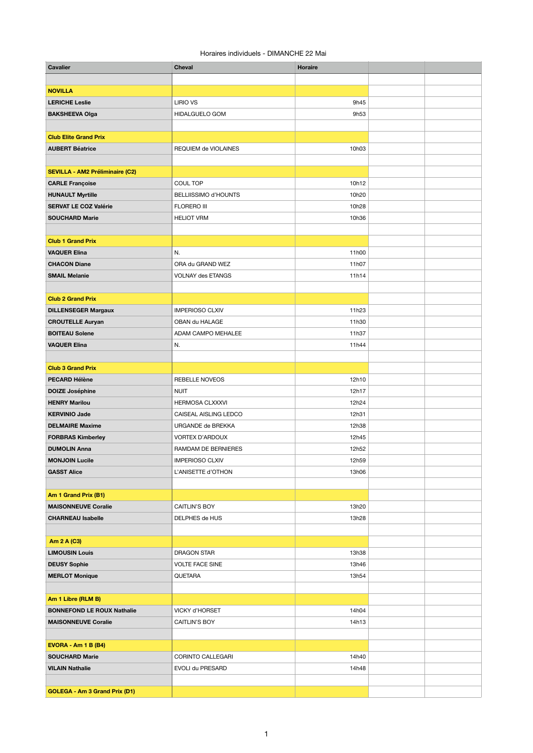## Horaires individuels - DIMANCHE 22 Mai

| <b>Cavalier</b>                        | <b>Cheval</b>               | <b>Horaire</b> |  |
|----------------------------------------|-----------------------------|----------------|--|
|                                        |                             |                |  |
| <b>NOVILLA</b>                         |                             |                |  |
| <b>LERICHE Leslie</b>                  | <b>LIRIO VS</b>             | 9h45           |  |
| <b>BAKSHEEVA Olga</b>                  | HIDALGUELO GOM              | 9h53           |  |
|                                        |                             |                |  |
| <b>Club Elite Grand Prix</b>           |                             |                |  |
| <b>AUBERT Béatrice</b>                 | REQUIEM de VIOLAINES        | 10h03          |  |
|                                        |                             |                |  |
| <b>SEVILLA - AM2 Préliminaire (C2)</b> |                             |                |  |
| <b>CARLE Françoise</b>                 | <b>COUL TOP</b>             | 10h12          |  |
| <b>HUNAULT Myrtille</b>                | <b>BELLIISSIMO d'HOUNTS</b> | 10h20          |  |
| <b>SERVAT LE COZ Valérie</b>           | <b>FLORERO III</b>          | 10h28          |  |
| <b>SOUCHARD Marie</b>                  | <b>HELIOT VRM</b>           | 10h36          |  |
|                                        |                             |                |  |
| <b>Club 1 Grand Prix</b>               |                             |                |  |
| <b>VAQUER Elina</b>                    | N.                          | 11h00          |  |
| <b>CHACON Diane</b>                    | ORA du GRAND WEZ            | 11h07          |  |
| <b>SMAIL Melanie</b>                   | <b>VOLNAY des ETANGS</b>    | 11h14          |  |
|                                        |                             |                |  |
| <b>Club 2 Grand Prix</b>               |                             |                |  |
| <b>DILLENSEGER Margaux</b>             | <b>IMPERIOSO CLXIV</b>      | 11h23          |  |
| <b>CROUTELLE Auryan</b>                | OBAN du HALAGE              | 11h30          |  |
| <b>BOITEAU Solene</b>                  | ADAM CAMPO MEHALEE          | 11h37          |  |
| <b>VAQUER Elina</b>                    | N.                          | 11h44          |  |
|                                        |                             |                |  |
| <b>Club 3 Grand Prix</b>               |                             |                |  |
| <b>PECARD Hélène</b>                   | <b>REBELLE NOVEOS</b>       | 12h10          |  |
| <b>DOIZE Joséphine</b>                 | <b>NUIT</b>                 | 12h17          |  |
| <b>HENRY Marilou</b>                   | <b>HERMOSA CLXXXVI</b>      | 12h24          |  |
| <b>KERVINIO Jade</b>                   | CAISEAL AISLING LEDCO       | 12h31          |  |
| <b>DELMAIRE Maxime</b>                 | URGANDE de BREKKA           | 12h38          |  |
| <b>FORBRAS Kimberley</b>               | <b>VORTEX D'ARDOUX</b>      | 12h45          |  |
| <b>DUMOLIN Anna</b>                    | RAMDAM DE BERNIERES         | 12h52          |  |
| <b>MONJOIN Lucile</b>                  | <b>IMPERIOSO CLXIV</b>      | 12h59          |  |
| <b>GASST Alice</b>                     | L'ANISETTE d'OTHON          | 13h06          |  |
|                                        |                             |                |  |
| Am 1 Grand Prix (B1)                   |                             |                |  |
| <b>MAISONNEUVE Coralie</b>             | <b>CAITLIN'S BOY</b>        | 13h20          |  |
| <b>CHARNEAU Isabelle</b>               | DELPHES de HUS              | 13h28          |  |
|                                        |                             |                |  |
| <b>Am 2 A (C3)</b>                     |                             |                |  |
| <b>LIMOUSIN Louis</b>                  | <b>DRAGON STAR</b>          | 13h38          |  |
| <b>DEUSY Sophie</b>                    | <b>VOLTE FACE SINE</b>      | 13h46          |  |
| <b>MERLOT Monique</b>                  | <b>QUETARA</b>              | 13h54          |  |
|                                        |                             |                |  |
| Am 1 Libre (RLM B)                     |                             |                |  |
| <b>BONNEFOND LE ROUX Nathalie</b>      | VICKY d'HORSET              | 14h04          |  |
| <b>MAISONNEUVE Coralie</b>             | <b>CAITLIN'S BOY</b>        | 14h13          |  |
|                                        |                             |                |  |
| <b>EVORA - Am 1 B (B4)</b>             |                             |                |  |
| <b>SOUCHARD Marie</b>                  | <b>CORINTO CALLEGARI</b>    | 14h40          |  |
| <b>VILAIN Nathalie</b>                 | EVOLI du PRESARD            | 14h48          |  |
|                                        |                             |                |  |
| <b>GOLEGA - Am 3 Grand Prix (D1)</b>   |                             |                |  |